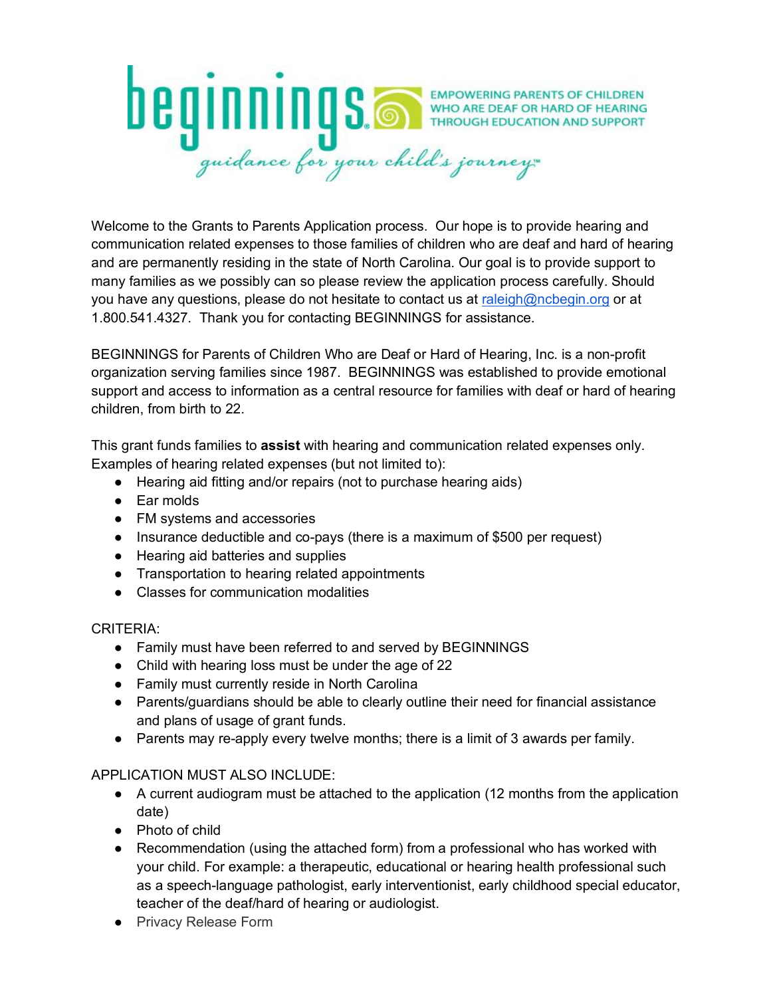

Welcome to the Grants to Parents Application process. Our hope is to provide hearing and communication related expenses to those families of children who are deaf and hard of hearing and are permanently residing in the state of North Carolina. Our goal is to provide support to many families as we possibly can so please review the application process carefully. Should you have any questions, please do not hesitate to contact us at raleigh@ncbegin.org or at 1.800.541.4327. Thank you for contacting BEGINNINGS for assistance.

BEGINNINGS for Parents of Children Who are Deaf or Hard of Hearing, Inc. is a non-profit organization serving families since 1987. BEGINNINGS was established to provide emotional support and access to information as a central resource for families with deaf or hard of hearing children, from birth to 22.

This grant funds families to **assist** with hearing and communication related expenses only. Examples of hearing related expenses (but not limited to):

- Hearing aid fitting and/or repairs (not to purchase hearing aids)
- Ear molds
- FM systems and accessories
- Insurance deductible and co-pays (there is a maximum of \$500 per request)
- Hearing aid batteries and supplies
- Transportation to hearing related appointments
- Classes for communication modalities

CRITERIA:

- Family must have been referred to and served by BEGINNINGS
- Child with hearing loss must be under the age of 22
- Family must currently reside in North Carolina
- Parents/guardians should be able to clearly outline their need for financial assistance and plans of usage of grant funds.
- Parents may re-apply every twelve months; there is a limit of 3 awards per family.

#### APPLICATION MUST ALSO INCLUDE:

- A current audiogram must be attached to the application (12 months from the application date)
- Photo of child
- Recommendation (using the attached form) from a professional who has worked with your child. For example: a therapeutic, educational or hearing health professional such as a speech-language pathologist, early interventionist, early childhood special educator, teacher of the deaf/hard of hearing or audiologist.
- Privacy Release Form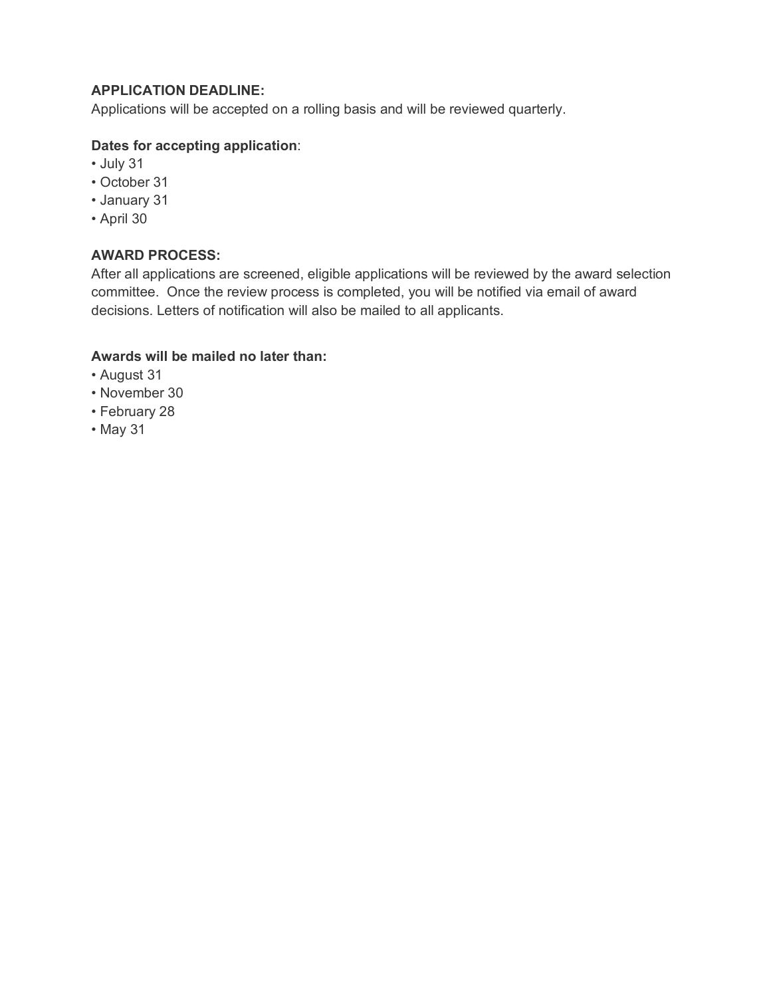### **APPLICATION DEADLINE:**

Applications will be accepted on a rolling basis and will be reviewed quarterly.

### **Dates for accepting application**:

- July 31
- October 31
- January 31
- April 30

## **AWARD PROCESS:**

After all applications are screened, eligible applications will be reviewed by the award selection committee. Once the review process is completed, you will be notified via email of award decisions. Letters of notification will also be mailed to all applicants.

### **Awards will be mailed no later than:**

- August 31
- November 30
- February 28
- May 31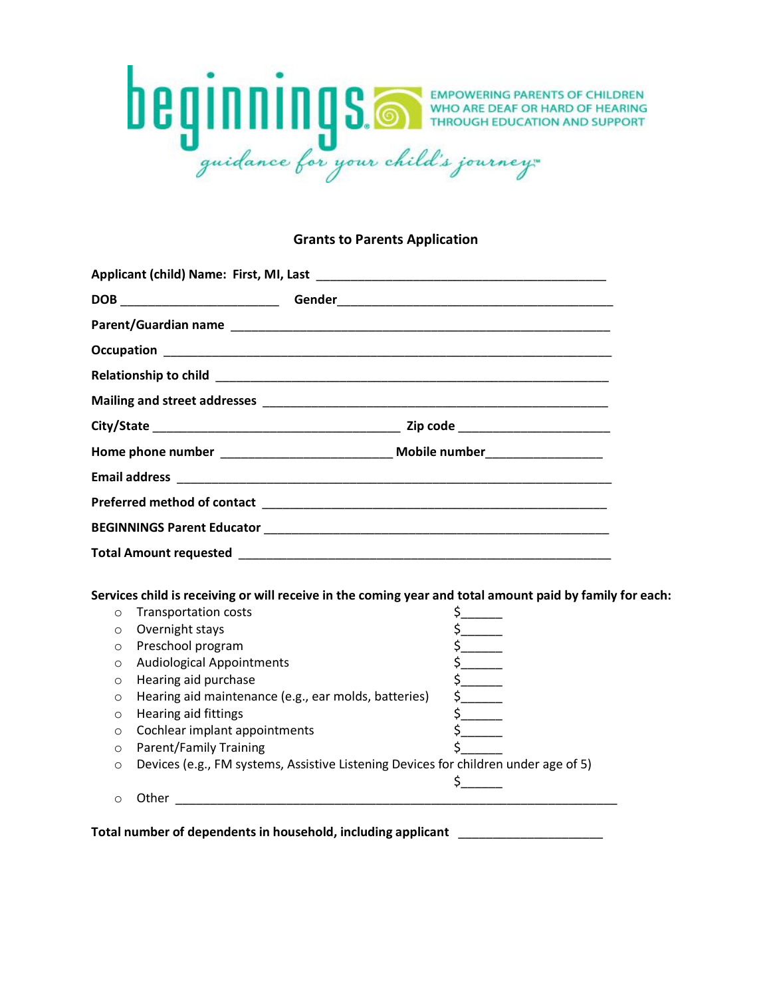

#### **Grants to Parents Application**

|                    | Services child is receiving or will receive in the coming year and total amount paid by family for each: |                               |
|--------------------|----------------------------------------------------------------------------------------------------------|-------------------------------|
| $\circ$            | <b>Transportation costs</b>                                                                              |                               |
| $\circ$<br>$\circ$ | Overnight stays                                                                                          | $\mathsf{s}_{\_\_\_\_\_\_\_}$ |
| $\Omega$           | Preschool program                                                                                        |                               |
| $\circ$            | <b>Audiological Appointments</b><br>Hearing aid purchase                                                 | $\frac{1}{2}$                 |
| $\circ$            | Hearing aid maintenance (e.g., ear molds, batteries)                                                     |                               |
| $\circ$            | Hearing aid fittings                                                                                     | $\frac{1}{2}$                 |
| $\circ$            | Cochlear implant appointments                                                                            | $\frac{1}{2}$                 |
| $\circ$            | <b>Parent/Family Training</b>                                                                            | $\frac{1}{2}$                 |
| $\circ$            | Devices (e.g., FM systems, Assistive Listening Devices for children under age of 5)                      |                               |
|                    |                                                                                                          |                               |

**Total number of dependents in household, including applicant** \_\_\_\_\_\_\_\_\_\_\_\_\_\_\_\_\_\_\_\_\_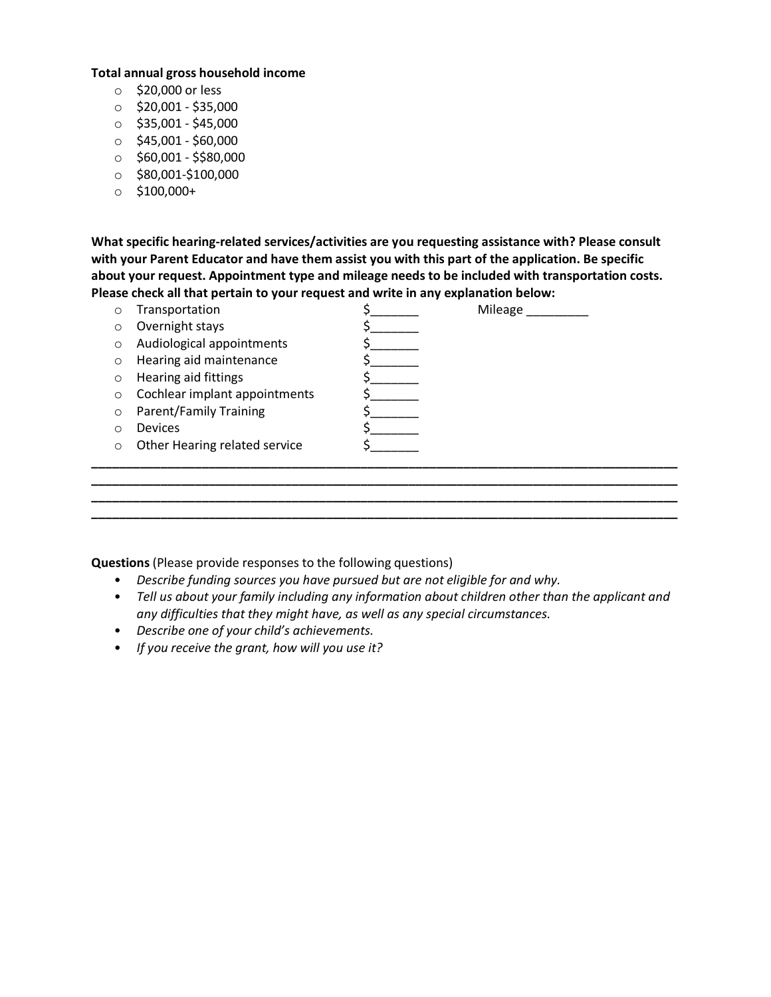#### **Total annual gross household income**

- o \$20,000 or less
- $\circ$  \$20,001 \$35,000
- $\circ$  \$35,001 \$45,000
- $\circ$  \$45,001 \$60,000
- $\circ$  \$60,001 \$\$80,000
- $\circ$  \$80,001-\$100,000
- $\circ$  \$100,000+

**What specific hearing-related services/activities are you requesting assistance with? Please consult with your Parent Educator and have them assist you with this part of the application. Be specific about your request. Appointment type and mileage needs to be included with transportation costs. Please check all that pertain to your request and write in any explanation below:**

| Ω       | Transportation                | Mileage |
|---------|-------------------------------|---------|
| O       | Overnight stays               |         |
| $\circ$ | Audiological appointments     |         |
| $\circ$ | Hearing aid maintenance       |         |
| $\circ$ | Hearing aid fittings          |         |
| O       | Cochlear implant appointments |         |
| $\circ$ | <b>Parent/Family Training</b> |         |
| O       | <b>Devices</b>                |         |
| $\circ$ | Other Hearing related service |         |
|         |                               |         |
|         |                               |         |
|         |                               |         |
|         |                               |         |

**Questions** (Please provide responses to the following questions)

- *Describe funding sources you have pursued but are not eligible for and why.*
- *Tell us about your family including any information about children other than the applicant and any difficulties that they might have, as well as any special circumstances.*
- *Describe one of your child's achievements.*
- *If you receive the grant, how will you use it?*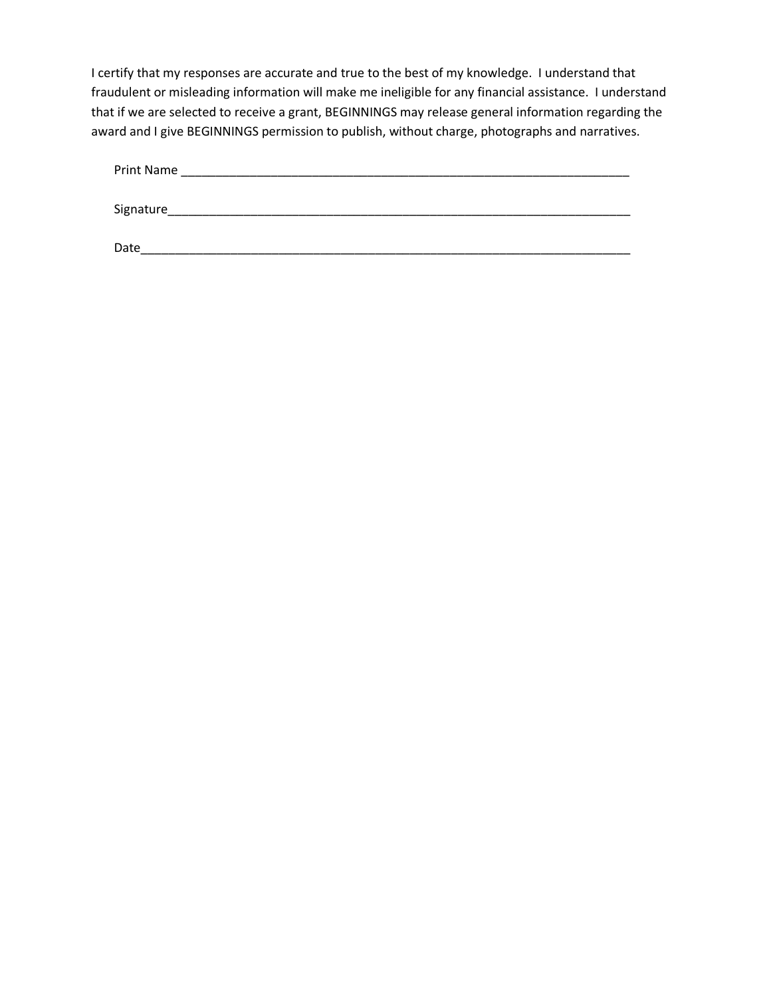I certify that my responses are accurate and true to the best of my knowledge. I understand that fraudulent or misleading information will make me ineligible for any financial assistance. I understand that if we are selected to receive a grant, BEGINNINGS may release general information regarding the award and I give BEGINNINGS permission to publish, without charge, photographs and narratives.

| Print Name |  |  |
|------------|--|--|
|            |  |  |
| Signature  |  |  |
|            |  |  |
| Date       |  |  |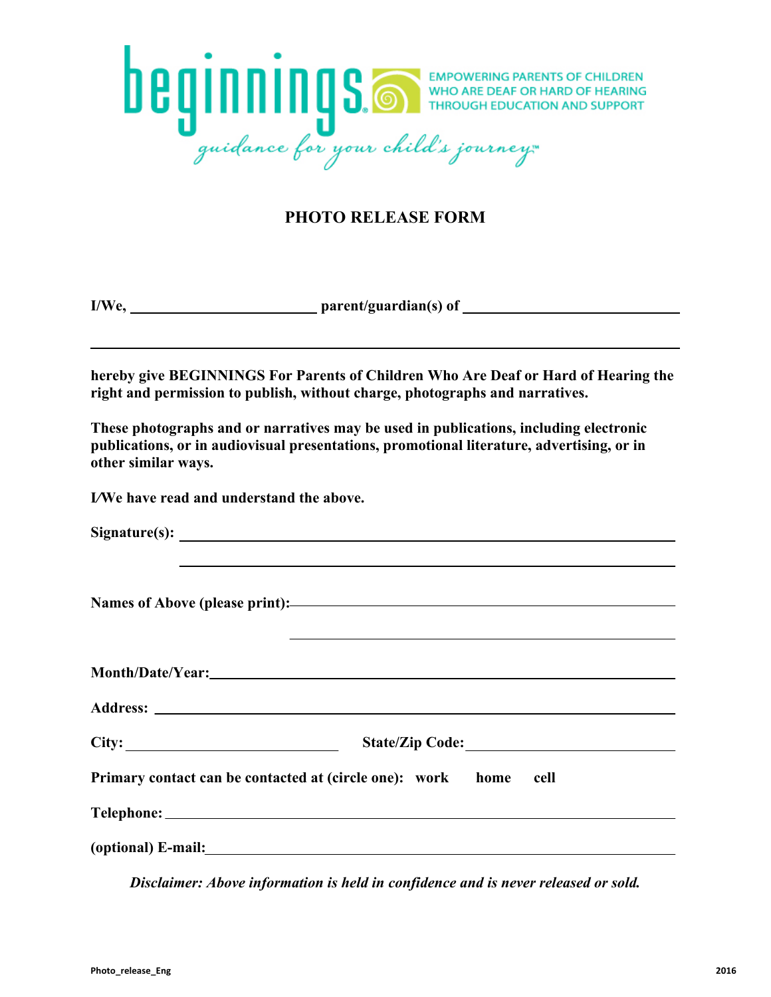

# **PHOTO RELEASE FORM**

**I/We, parent/guardian(s) of**

**hereby give BEGINNINGS For Parents of Children Who Are Deaf or Hard of Hearing the right and permission to publish, without charge, photographs and narratives.**

**These photographs and or narratives may be used in publications, including electronic publications, or in audiovisual presentations, promotional literature, advertising, or in other similar ways.** 

**I***/***We have read and understand the above.**

|       | <u>and the contract of the contract of the contract of the contract of the contract of the contract of the contract of</u> |  |
|-------|----------------------------------------------------------------------------------------------------------------------------|--|
|       |                                                                                                                            |  |
|       |                                                                                                                            |  |
| City: |                                                                                                                            |  |
|       | Primary contact can be contacted at (circle one): work home cell                                                           |  |
|       |                                                                                                                            |  |
|       |                                                                                                                            |  |

*Disclaimer: Above information is held in confidence and is never released or sold.*